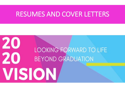# RESUMES AND COVER LETTERS

# 20 **LOOKING FORWARD TO LIFE** 20 **BEYOND GRADUATION** VISION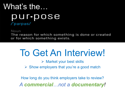# What's the… pur•pose /'parpas/

Noun

The reason for which something is done or created or for which something exists.

# To Get An Interview!

 $\triangleright$  Market your best skills

 $\triangleright$  Show employers that you're a good match

How long do you think employers take to review? *A commercial…not a documentary!*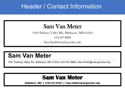### Header / Contact Information

### Sam Van Meter

1021 Dulaney Valley Rd., Baltimore, MD 21204

410-337-8888

Sam.Smith@mail.goucher.edu

### **Sam Van Meter**

1021 Dulaney Valley Rd., Baltimore, MD 21204 | 410-337-8888 | Sam.Smith@mail.goucher.edu

**\_\_\_\_\_\_\_\_\_\_\_\_\_\_\_\_\_\_\_\_\_\_\_\_\_\_\_\_\_\_\_\_\_\_\_\_\_\_\_\_\_\_\_\_\_\_\_\_\_\_\_\_\_\_\_\_\_\_\_\_\_\_\_\_\_\_\_\_\_\_\_\_\_\_\_\_\_\_\_\_\_\_\_\_\_\_\_\_\_\_\_\_\_\_\_\_\_\_\_\_\_\_\_\_\_\_\_\_\_\_\_\_\_\_\_\_\_\_\_\_\_\_\_\_\_\_\_\_\_\_\_\_\_\_\_\_\_\_\_\_\_\_\_\_\_\_\_\_\_\_\_\_\_\_\_\_\_\_\_\_\_\_\_\_\_\_\_\_\_\_\_\_\_\_\_\_\_\_\_\_\_\_\_\_\_\_\_\_\_\_\_\_\_\_\_\_\_\_\_\_\_\_\_\_\_\_\_\_\_\_\_\_\_\_\_\_\_\_\_\_\_\_\_\_\_\_\_\_\_\_\_\_\_\_\_\_\_\_\_\_\_\_\_\_\_\_\_\_\_\_\_\_\_\_\_\_\_\_\_\_\_\_\_\_\_\_\_\_\_\_\_\_\_\_\_\_\_\_**

### **Sam Van Meter**

**Baltimore, MD | 410-337-8888 | Sam.Smith@mail.goucher.edu**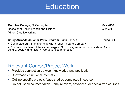# Education

**Goucher College**, *Baltimore, MD* **College** and *May* 2018 Bachelor of Arts in French and History **GPA 3.0** Minor: Creative Writing

### **Study Abroad: Goucher Paris Program, Paris, France Spring 2017**

- Completed part-time internship with French Theatre Company
- Courses completed: Intense language at Sorbonne; immersion study about Paris culture, society and history; two advanced phonetics

### Relevant Course/Project Work

- Provides connection between knowledge and application
- Showcases functional interests
- Outline specific projects /case studies completed in course
- Do not list all courses taken only relevant, advanced, or specialized courses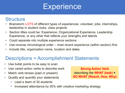# **Experience**

### **Structure**

- Brainstorm LOTS of different types of experiences: volunteer, jobs, internships, leadership in student clubs, class projects
- Section titles could be: Experience, Organizational Experience, Leadership Experience, or any other that reflects your strengths and talents
- Could separate into multiple experience sections
- Use reverse chronological order most recent experience (within section) first
- Include title, organization name, location and dates

### Descriptions = Accomplishment Statements

- Use bullet points to be easy to scan
- Use varied action verbs to describe work
- Match verb tenses (past or present)
- Qualify and quantify your statements
	- Lead a team of 30 students
	- Increased attendance by 30% with creative marketing strategy

**Strong Action Verb**  describing the **WHAT (task) + SO WHAT (Result, How, Why)**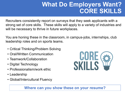## **What Do Employers Want? CORE SKILLS**

Recruiters consistently report on surveys that they seek applicants with a strong set of core skills. These skills will apply to a variety of industries and will be necessary to thrive in future workplaces.

You are honing these in the classroom, in campus-jobs, internships, club leadership roles and on sports teams.

- Critical Thinking/Problem Solving
- Oral/Written Communication
- Teamwork/Collaboration
- Digital Technology
- Professionalism/work ethic
- Leadership
- Global/Intercultural Fluency

### **Where can you show these on your resume?**

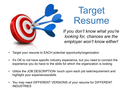

# **Target** Resume

*If you don't know what you're looking for, chances are the employer won't know either!*

- Target your resume to EACH potential opportunity/organization
- It's OK to not have specific industry experience, but you need to connect the experience you do have to the skills for which the organization is looking
- Utilize the JOB DESCRIPTION- touch upon each job task/requirement and highlight your experiences/skills
- You may need DIFFERENT VERSIONS of your resume for DIFFERENT **INDUSTRIES**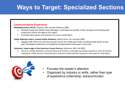# **Ways to Target: Specialized Sections**

#### **Communications Experience**

Marketing Intern, AFLAC, Towson, MD, January-February 2005

- Worked closely with District Sales Manager, promoting the benefits of the company and meeting with prospective clients throughout the region.
- Attended sales classes and obtained insurance certification.  $\bullet$

#### Public Relations Intern, Canaan Public Relations, White Plains, NY, Summer 2004

Engaged with clients to promote and plan events for media personnel, including media weeks at two  $\bullet$ spas. Developed media lists and created print placements to be used in press kits.

#### Volunteer, Hope Lodge of the American Cancer Society, Baltimore, MD, Fall 2003

Acted as a Public Relations representative and created a campaign including a brochure, internal speech, newsletter, Public Service Announcement and print advertisement focused on the need for volunteers.



- Focuses the reader's attention
- Organized by industry or skills, rather than type of experience (internship, extracurricular)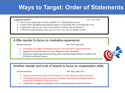### **Ways to Target: Order of Statements**

#### **Canned Food Drive**

Nov. 2015-2017

- Served as an organizing food drive member for 3 Thanksgiving seasons
- Created flyers and digital marketing for school's social media sites to advertise the event
- Volunteered 2 hours every week in November to organize and sort donations
- Collected enough donations each season to serve over 30 local families in need

### A little reorder to focus on marketing experience:

Canned Food Drive

Nov. 2015, 2016, 2017

- Created flyers and digital marketing for school's social media site to advertise food drive
- Organized and sorted donations in 2 hour shifts each week in November
- Served as an organizing food drive member which collected enough donations to support over 30 families in need each season



### Another reorder and a bit of rework to focus on organization skills:

#### Canned Food Drive

Nov. 2015, 2016, 2017

- Organized and sorted hundreds of food donations in 2 hour shifts each week in November
- Coordinated food drive as part of a team of 3 students, which collected enough donations to support over 30 families in need each season
- Created flyers and digital marketing for school's social media site to advertise food drive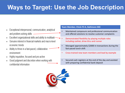# **Ways to Target: Use the Job Description**

- Exceptional interpersonal, communication, analytical and problem-solving skills
- Excellent organizational skills and ability to multitask
- Genuine interest in financial markets and macro-level economic trends
- Ability to thrive in a fast-paced, collaborative environment
- Highly inquisitive, focused and pro-active
- Good judgment and discretion when working with confidential information

#### **Team Member, Chick-Fil-A, Baltimore MD**

- Maintained composure and professional communication and offered solutions to resolve customer complaints
- Demonstrated flexibility by playing multiple roles including cashier, drive-thru and runner
- Managed approximately \$2000 in transactions during the fast-paced lunch shift
- Cross-trained new team members and lead by example
- Secured cash registers at the end of the day and assisted with preparing confidential bank deposit

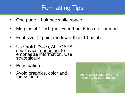# Formatting Tips

- One page balance white space
- Margins at 1 inch (no lower than .5 inch) all around
- Font size 12 point (no lower than 10 point)
- Use **bold**, *italics*, ALL CAPS, small caps, underline, to emphasize information. Use strategically
- Punctuation
- Avoid graphics, color and fancy fonts

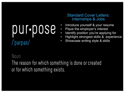# pur•pose /'parpas/

### Standard Cover Letters: Internships & Jobs

- Introduce yourself & your resume
- Pique the employer's interest
- Identify position you're applying for
- Highlight strongest skills & experience
- Showcase writing style & skills

### Noun

The reason for which something is done or created or for which something exists.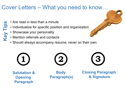### Cover Letters – What you need to know…

- Are read in less than a minute **Key Tips**
	- Individualize for specific position and organization
		- Showcase your personality
	- Mention referrals and contacts
	- Should always accompany resume, never on their own

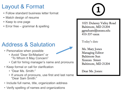### Layout & Format

- Follow standard business letter format
- Match design of resume
- Keep to one page
- Error free grammar & spelling

# Address & Salutation

- Personalize when possible
	- Avoid "Dear Sir/Madam" or "To Whom It May Concern"
	- Call for hiring manager's name and pronouns
- Keep formal or call for clarification
	- "Dear Ms. Smith:"
	- If unsure of pronouns, use first and last name "Dear Sam Smith:"
- Include full name, title, organization address
- Verify spelling of names and organizations

1021 Dulaney Valley Road Baltimore, MD 21204 ggraduate@xxxxx.edu  $410 - 337 - xxxx$ 

Today's date

Ms. Mary Jones Managing Editor **Baltimore Sun** Xxxxxx Street Baltimore, MD 21204

Dear Ms. Jones: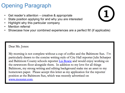## Opening Paragraph

- Get reader's attention creative & appropriate
- State position applying for and why you are interested
- Highlight why this particular company
- **Mention referral**
- Showcase how your combined experiences are a perfect fit! (if applicable)

### Dear Ms. Jones:

My morning is not complete without a cup of coffee and the Baltimore Sun. I'm particularly drawn to the concise writing style of City Hall reporter Julie Scharper and Baltimore County schools reporter Liz Bowie and would enjoy working on the newsroom floor alongside them. In addition to my love for all things Baltimore, my strong writing and editing background make me an asset to my hometown paper. Please accept this letter as my application for the reporter position at the Baltimore Sun, which was recently advertised on www.monster.com.

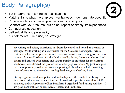# Body Paragraph(s)

- 1-2 paragraphs of strongest qualifications
- Match skills to what the employer wants/needs demonstrate good 'fit'
- Provide evidence to back-up  $-$  use specific examples
- Connect with your resume, but do not repeat or simply list experiences
- Can address education
- Sell soft skills and personality
- "I" Statements limit use, be strategic

My writing and editing experience has been developed and honed in a variety of settings. While working as a staff writer for the Goucher newspaper, I wrote feature articles on campus events and issues and assisted with editing for freelance writers. As a staff assistant for the Baltimore City Paper, I wrote articles on local events and assisted with editing and layout. Finally, as an editor for the campus yearbook, I coordinated the production of a 50-page yearbook. My positions gave me the opportunity to develop strong reporting skills, which include providing clear information to the reader, meeting deadlines, and checking facts.

Strong organizational, computer, and leadership are other skills I can bring to the Sun. As a resident assistant at Goucher, I provided supervision to a floor of 20 students, and as Sophomore Class President, I organized fund raising activities. I am proficient with MS Word, Excel, Access, and Publisher.

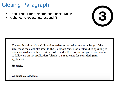## Closing Paragraph

- Thank reader for their time and consideration
- A chance to restate interest and fit



The combination of my skills and experiences, as well as my knowledge of the area, make me a definite asset to the Baltimore Sun. I look forward to speaking to you soon to discuss this position further and will be contacting you in two weeks to follow up on my application. Thank you in advance for considering my application.

Sincerely,

Goucher Q. Graduate